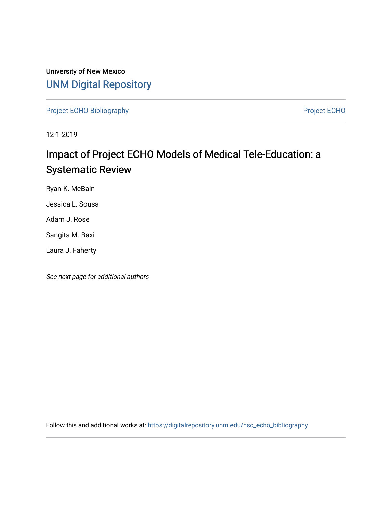University of New Mexico [UNM Digital Repository](https://digitalrepository.unm.edu/) 

[Project ECHO Bibliography](https://digitalrepository.unm.edu/hsc_echo_bibliography) **Project ECHO** 

12-1-2019

# Impact of Project ECHO Models of Medical Tele-Education: a Systematic Review

Ryan K. McBain

Jessica L. Sousa

Adam J. Rose

Sangita M. Baxi

Laura J. Faherty

See next page for additional authors

Follow this and additional works at: [https://digitalrepository.unm.edu/hsc\\_echo\\_bibliography](https://digitalrepository.unm.edu/hsc_echo_bibliography?utm_source=digitalrepository.unm.edu%2Fhsc_echo_bibliography%2F223&utm_medium=PDF&utm_campaign=PDFCoverPages)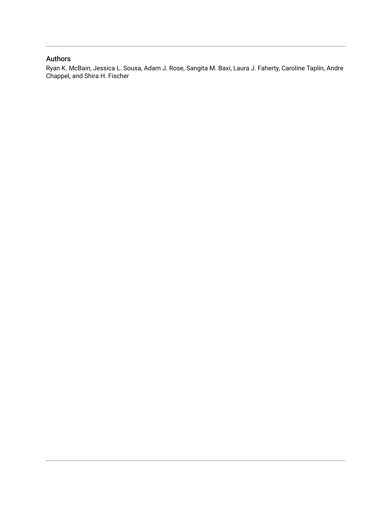### Authors

Ryan K. McBain, Jessica L. Sousa, Adam J. Rose, Sangita M. Baxi, Laura J. Faherty, Caroline Taplin, Andre Chappel, and Shira H. Fischer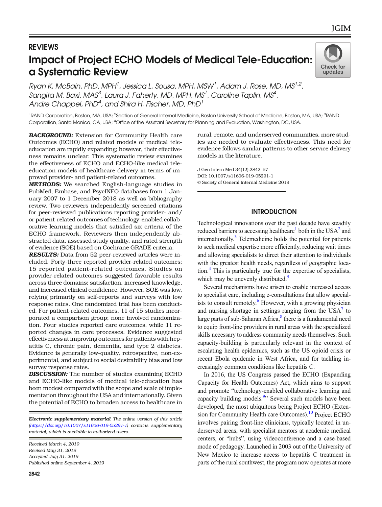## REVIEWS Impact of Project ECHO Models of Medical Tele-Education: a Systematic Review



Ryan K. McBain, PhD, MPH<sup>1</sup>, Jessica L. Sousa, MPH, MSW<sup>1</sup>, Adam J. Rose, MD, MS<sup>1,2</sup>, Sangita M. Baxi, MAS $^3$ , Laura J. Faherty, MD, MPH, MS $^1$ , Caroline Taplin, MS $^4$ , Andre Chappel, PhD $^4$ , and Shira H. Fischer, MD, PhD $^1$ 

<sup>1</sup>RAND Corporation, Boston, MA, USA; <sup>2</sup>Section of General Internal Medicine, Boston University School of Medicine, Boston, MA, USA; <sup>3</sup>RAND Corporation, Santa Monica, CA, USA; <sup>4</sup> Office of the Assistant Secretary for Planning and Evaluation, Washington, DC, USA.

BACKGROUND: Extension for Community Health care Outcomes (ECHO) and related models of medical teleeducation are rapidly expanding; however, their effectiveness remains unclear. This systematic review examines the effectiveness of ECHO and ECHO-like medical teleeducation models of healthcare delivery in terms of improved provider- and patient-related outcomes.

METHODS: We searched English-language studies in PubMed, Embase, and PsycINFO databases from 1 January 2007 to 1 December 2018 as well as bibliography review. Two reviewers independently screened citations for peer-reviewed publications reporting provider- and/ or patient-related outcomes of technology-enabled collaborative learning models that satisfied six criteria of the ECHO framework. Reviewers then independently abstracted data, assessed study quality, and rated strength of evidence (SOE) based on Cochrane GRADE criteria.

RESULTS: Data from 52 peer-reviewed articles were included. Forty-three reported provider-related outcomes; 15 reported patient-related outcomes. Studies on provider-related outcomes suggested favorable results across three domains: satisfaction, increased knowledge, and increased clinical confidence. However, SOE was low, relying primarily on self-reports and surveys with low response rates. One randomized trial has been conducted. For patient-related outcomes, 11 of 15 studies incorporated a comparison group; none involved randomization. Four studies reported care outcomes, while 11 reported changes in care processes. Evidence suggested effectiveness at improving outcomes for patients with hepatitis C, chronic pain, dementia, and type 2 diabetes. Evidence is generally low-quality, retrospective, non-experimental, and subject to social desirability bias and low survey response rates.

DISCUSSION: The number of studies examining ECHO and ECHO-like models of medical tele-education has been modest compared with the scope and scale of implementation throughout the USA and internationally. Given the potential of ECHO to broaden access to healthcare in

**Electronic supplementary material** The online version of this article (https://doi.org/10.1007/s11606-019-05291-1) contains supplementary [material, which is available to authorized users](http://dx.doi.org/10.1007/s11606-019-05291-1).

Published online September 4, 2019 Received March 4, 2019 Revised May 31, 2019 Accepted July 31, 2019

rural, remote, and underserved communities, more studies are needed to evaluate effectiveness. This need for evidence follows similar patterns to other service delivery models in the literature.

DOI: 10.1007/s11606-019-05291-1 © Society of General Internal Medicine 2019 J Gen Intern Med 34(12):2842–57

#### **INTRODUCTION**

Technological innovations over the past decade have steadily reduced barriers to accessing healthcare<sup>[1](#page-15-0)</sup> both in the USA<sup>2</sup> and internationally. $3$  Telemedicine holds the potential for patients to seek medical expertise more efficiently, reducing wait times and allowing specialists to direct their attention to individuals with the greatest health needs, regardless of geographic location[.4](#page-15-0) This is particularly true for the expertise of specialists, which may be unevenly distributed. $\frac{5}{1}$ 

Several mechanisms have arisen to enable increased access to specialist care, including e-consultations that allow specialists to consult remotely. $6$  However, with a growing physician and nursing shortage in settings ranging from the  $USA<sup>7</sup>$  $USA<sup>7</sup>$  $USA<sup>7</sup>$  to large parts of sub-Saharan Africa, $\frac{8}{3}$  $\frac{8}{3}$  $\frac{8}{3}$  there is a fundamental need to equip front-line providers in rural areas with the specialized skills necessary to address community needs themselves. Such capacity-building is particularly relevant in the context of escalating health epidemics, such as the US opioid crisis or recent Ebola epidemic in West Africa, and for tackling increasingly common conditions like hepatitis C.

In 2016, the US Congress passed the ECHO (Expanding Capacity for Health Outcomes) Act, which aims to support and promote "technology-enabled collaborative learning and capacity building models.<sup>[9](#page-15-0)</sup>" Several such models have been developed, the most ubiquitous being Project ECHO (Exten-sion for Community Health care Outcomes).<sup>[10](#page-15-0)</sup> Project ECHO involves pairing front-line clinicians, typically located in underserved areas, with specialist mentors at academic medical centers, or "hubs", using videoconference and a case-based mode of pedagogy. Launched in 2003 out of the University of New Mexico to increase access to hepatitis C treatment in parts of the rural southwest, the program now operates at more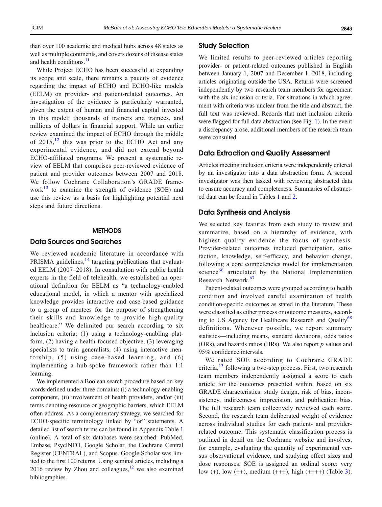than over 100 academic and medical hubs across 48 states as well as multiple continents, and covers dozens of disease states and health conditions.<sup>[11](#page-15-0)</sup>

While Project ECHO has been successful at expanding its scope and scale, there remains a paucity of evidence regarding the impact of ECHO and ECHO-like models (EELM) on provider- and patient-related outcomes. An investigation of the evidence is particularly warranted, given the extent of human and financial capital invested in this model: thousands of trainers and trainees, and millions of dollars in financial support. While an earlier review examined the impact of ECHO through the middle of  $2015$ ,  $^{12}$  $^{12}$  $^{12}$  this was prior to the ECHO Act and any experimental evidence, and did not extend beyond ECHO-affiliated programs. We present a systematic review of EELM that comprises peer-reviewed evidence of patient and provider outcomes between 2007 and 2018. We follow Cochrane Collaboration's GRADE framework $^{13}$  $^{13}$  $^{13}$  to examine the strength of evidence (SOE) and use this review as a basis for highlighting potential next steps and future directions.

#### **METHODS**

#### Data Sources and Searches

We reviewed academic literature in accordance with PRISMA guidelines, $14$  targeting publications that evaluated EELM (2007–2018). In consultation with public health experts in the field of telehealth, we established an operational definition for EELM as "a technology-enabled educational model, in which a mentor with specialized knowledge provides interactive and case-based guidance to a group of mentees for the purpose of strengthening their skills and knowledge to provide high-quality healthcare." We delimited our search according to six inclusion criteria: (1) using a technology-enabling platform, (2) having a health-focused objective, (3) leveraging specialists to train generalists, (4) using interactive mentorship, (5) using case-based learning, and (6) implementing a hub-spoke framework rather than 1:1 learning.

We implemented a Boolean search procedure based on key words defined under three domains: (i) a technology-enabling component, (ii) involvement of health providers, and/or (iii) terms denoting resource or geographic barriers, which EELM often address. As a complementary strategy, we searched for ECHO-specific terminology linked by "or" statements. A detailed list of search terms can be found in Appendix Table 1 (online). A total of six databases were searched: PubMed, Embase, PsycINFO, Google Scholar, the Cochrane Central Register (CENTRAL), and Scopus. Google Scholar was limited to the first 100 returns. Using seminal articles, including a 2016 review by Zhou and colleagues, $^{12}$  we also examined bibliographies.

#### Study Selection

We limited results to peer-reviewed articles reporting provider- or patient-related outcomes published in English between January 1, 2007 and December 1, 2018, including articles originating outside the USA. Returns were screened independently by two research team members for agreement with the six inclusion criteria. For situations in which agreement with criteria was unclear from the title and abstract, the full text was reviewed. Records that met inclusion criteria were flagged for full data abstraction (see Fig. [1](#page-4-0)). In the event a discrepancy arose, additional members of the research team were consulted.

#### Data Extraction and Quality Assessment

Articles meeting inclusion criteria were independently entered by an investigator into a data abstraction form. A second investigator was then tasked with reviewing abstracted data to ensure accuracy and completeness. Summaries of abstracted data can be found in Tables [1](#page-5-0) and [2](#page-10-0).

#### Data Synthesis and Analysis

We selected key features from each study to review and summarize, based on a hierarchy of evidence, with highest quality evidence the focus of synthesis. Provider-related outcomes included participation, satisfaction, knowledge, self-efficacy, and behavior change, following a core competencies model for implementation science $66$  articulated by the National Implementation Research Network.<sup>[67](#page-17-0)</sup>

Patient-related outcomes were grouped according to health condition and involved careful examination of health condition-specific outcomes as stated in the literature. These were classified as either process or outcome measures, accord-ing to US Agency for Healthcare Research and Quality<sup>[68](#page-17-0)</sup> definitions. Whenever possible, we report summary statistics—including means, standard deviations, odds ratios (ORs), and hazards ratios (HRs). We also report  $p$  values and 95% confidence intervals.

We rated SOE according to Cochrane GRADE criteria, $^{13}$  $^{13}$  $^{13}$  following a two-step process. First, two research team members independently assigned a score to each article for the outcomes presented within, based on six GRADE characteristics: study design, risk of bias, inconsistency, indirectness, imprecision, and publication bias. The full research team collectively reviewed each score. Second, the research team deliberated weight of evidence across individual studies for each patient- and providerrelated outcome. This systematic classification process is outlined in detail on the Cochrane website and involves, for example, evaluating the quantity of experimental versus observational evidence, and studying effect sizes and dose responses. SOE is assigned an ordinal score: very low  $(+)$ , low  $(+)$ , medium  $(+++)$ , high  $(+++)$  (Table [3](#page-12-0)).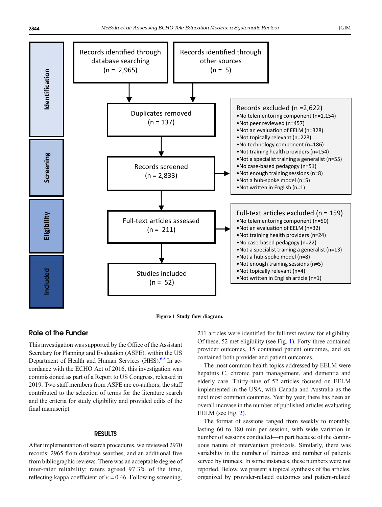<span id="page-4-0"></span>



#### Role of the Funder

This investigation was supported by the Office of the Assistant Secretary for Planning and Evaluation (ASPE), within the US Department of Health and Human Services (HHS).<sup>[69](#page-17-0)</sup> In accordance with the ECHO Act of 2016, this investigation was commissioned as part of a Report to US Congress, released in 2019. Two staff members from ASPE are co-authors; the staff contributed to the selection of terms for the literature search and the criteria for study eligibility and provided edits of the final manuscript.

#### RESULTS

After implementation of search procedures, we reviewed 2970 records: 2965 from database searches, and an additional five from bibliographic reviews. There was an acceptable degree of inter-rater reliability: raters agreed 97.3% of the time, reflecting kappa coefficient of  $\kappa = 0.46$ . Following screening, 211 articles were identified for full-text review for eligibility. Of these, 52 met eligibility (see Fig. 1). Forty-three contained provider outcomes, 15 contained patient outcomes, and six contained both provider and patient outcomes.

The most common health topics addressed by EELM were hepatitis C, chronic pain management, and dementia and elderly care. Thirty-nine of 52 articles focused on EELM implemented in the USA, with Canada and Australia as the next most common countries. Year by year, there has been an overall increase in the number of published articles evaluating EELM (see Fig. [2](#page-12-0)).

The format of sessions ranged from weekly to monthly, lasting 60 to 180 min per session, with wide variation in number of sessions conducted—in part because of the continuous nature of intervention protocols. Similarly, there was variability in the number of trainees and number of patients served by trainees. In some instances, these numbers were not reported. Below, we present a topical synthesis of the articles, organized by provider-related outcomes and patient-related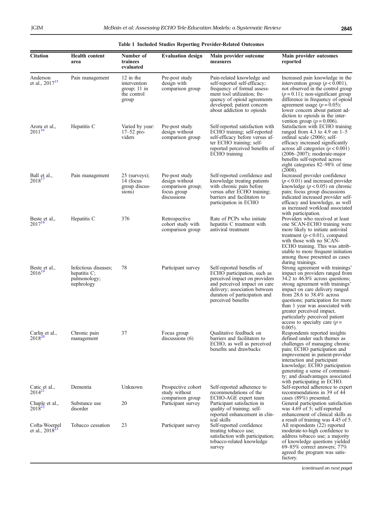<span id="page-5-0"></span>

| <b>Citation</b>                        | <b>Health content</b><br>area                                         | Number of<br>trainees<br>evaluated                                  | <b>Evaluation design</b>                                                            | Main provider outcome<br>measures                                                                                                                                                                                   | Main provider outcomes<br>reported                                                                                                                                                                                                                                                                                                                                                                             |
|----------------------------------------|-----------------------------------------------------------------------|---------------------------------------------------------------------|-------------------------------------------------------------------------------------|---------------------------------------------------------------------------------------------------------------------------------------------------------------------------------------------------------------------|----------------------------------------------------------------------------------------------------------------------------------------------------------------------------------------------------------------------------------------------------------------------------------------------------------------------------------------------------------------------------------------------------------------|
| Anderson<br>et al., 2017 <sup>15</sup> | Pain management                                                       | 12 in the<br>intervention<br>group; $11$ in<br>the control<br>group | Pre-post study<br>design with<br>comparison group                                   | Pain-related knowledge and<br>self-reported self-efficacy;<br>frequency of formal assess-<br>ment tool utilization; fre-<br>quency of opioid agreements<br>developed; patient concern<br>about addiction to opioids | Increased pain knowledge in the<br>intervention group ( $p < 0.001$ ),<br>not observed in the control group<br>$(p=0.11)$ ; non-significant group<br>difference in frequency of opioid<br>agreement usage ( $p = 0.05$ );<br>lower concern about patient ad-<br>diction to opioids in the inter-<br>vention group ( $p = 0.006$ ).                                                                             |
| Arora et al.,<br>$2011^{16}$           | Hepatitis C                                                           | Varied by year:<br>$17 - 52$ pro-<br>viders                         | Pre-post study<br>design without<br>comparison group                                | Self-reported satisfaction with<br>ECHO training; self-reported<br>self-efficacy before versus af-<br>ter ECHO training; self-<br>reported perceived benefits of<br>ECHO training                                   | Satisfaction with ECHO training<br>ranged from 4.3 to 4.9 on $1-5$<br>ordinal scale (2006); self-<br>efficacy increased significantly<br>across all categories ( $p < 0.001$ )<br>$(2006-2007)$ ; moderate-major<br>benefits self-reported across<br>eight categories 82–98% of time<br>(2008).                                                                                                                |
| Ball et al.,<br>$2018^{17}$            | Pain management                                                       | 25 (surveys);<br>14 (focus<br>group discus-<br>sions)               | Pre-post study<br>design without<br>comparison group;<br>focus group<br>discussions | Self-reported confidence and<br>knowledge treating patients<br>with chronic pain before<br>versus after ECHO training;<br>barriers and facilitators to<br>participation in ECHO                                     | Increased provider confidence<br>$(p<0.01)$ and increased provider<br>knowledge $(p < 0.05)$ on chronic<br>pain; focus group discussions<br>indicated increased provider self-<br>efficacy and knowledge, as well<br>as increased workload associated<br>with participation.                                                                                                                                   |
| Beste et al.,<br>$2017^{18}$           | Hepatitis C                                                           | 376                                                                 | Retrospective<br>cohort study with<br>comparison group                              | Rate of PCPs who initiate<br>hepatitis C treatment with<br>antiviral treatment                                                                                                                                      | Providers who received at least<br>one SCAN-ECHO training were<br>more likely to initiate antiviral<br>treatment ( $p < 0.01$ ), compared<br>with those with no SCAN-<br>ECHO training. This was attrib-<br>utable to more frequent initiation<br>among those presented as cases                                                                                                                               |
| Beste et al.,<br>$2016^{19}$           | Infectious diseases;<br>hepatitis $C$ ;<br>pulmonology;<br>nephrology | 78                                                                  | Participant survey                                                                  | Self-reported benefits of<br>ECHO participation, such as<br>perceived impact on providers<br>and perceived impact on care<br>delivery; association between<br>duration of participation and<br>perceived benefits   | during trainings.<br>Strong agreement with trainings'<br>impact on providers ranged from<br>34.2 to $46.8\%$ across questions;<br>strong agreement with trainings'<br>impact on care delivery ranged<br>from 28.6 to $38.4\%$ across<br>questions; participation for more<br>than 1 year was associated with<br>greater perceived impact,<br>particularly perceived patient<br>access to specialty care $(p =$ |
| Carlin et al.,<br>$2018^{20}$          | Chronic pain<br>management                                            | 37                                                                  | Focus group<br>discussions $(6)$                                                    | Oualitative feedback on<br>barriers and facilitators to<br>ECHO, as well as perceived<br>benefits and drawbacks                                                                                                     | $0.005$ ).<br>Respondents reported insights<br>defined under such themes as<br>challenges of managing chronic<br>pain; ECHO participation and<br>improvement in patient-provider<br>interaction and participant<br>knowledge; ECHO participation<br>generating a sense of communi-<br>ty; and disadvantages associated<br>with participating in ECHO.                                                          |
| Catic et al.,<br>$2014^{21}$           | Dementia                                                              | Unknown                                                             | Prospective cohort<br>study without<br>comparison group                             | Self-reported adherence to<br>recommendations of the<br>ECHO-AGE expert team                                                                                                                                        | Self-reported adherence to expert<br>recommendations in 39 of 44<br>cases (89%) presented.                                                                                                                                                                                                                                                                                                                     |
| Chaple et al.,<br>$2018^2$             | Substance use<br>disorder                                             | 20                                                                  | Participant survey                                                                  | Participant satisfaction in<br>quality of training; self-<br>reported enhancement in clin-<br>ical skills                                                                                                           | General participation satisfaction<br>was 4.69 of 5; self-reported<br>enhancement of clinical skills as<br>a result of training was 4.45 of 5.                                                                                                                                                                                                                                                                 |
| Cofta-Woerpel<br>et al., $20182$       | Tobacco cessation                                                     | 23                                                                  | Participant survey                                                                  | Self-reported confidence<br>treating tobacco use;<br>satisfaction with participation;<br>tobacco-related knowledge<br>survey                                                                                        | All respondents (22) reported<br>moderate-to-high confidence to<br>address tobacco use; a majority<br>of knowledge questions yielded<br>$69-85\%$ correct answers; $77\%$<br>agreed the program was satis-<br>factory.                                                                                                                                                                                         |

Table 1 Included Studies Reporting Provider-Related Outcomes

(continued on next page)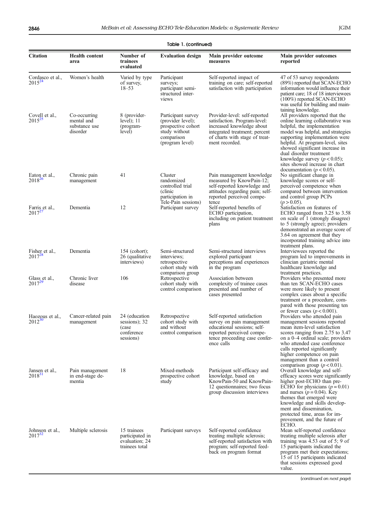|                                 |                                                         |                                                                     | Table 1. (continued)                                                                                            |                                                                                                                                                                                 |                                                                                                                                                                                                                                                                                                                                                                             |
|---------------------------------|---------------------------------------------------------|---------------------------------------------------------------------|-----------------------------------------------------------------------------------------------------------------|---------------------------------------------------------------------------------------------------------------------------------------------------------------------------------|-----------------------------------------------------------------------------------------------------------------------------------------------------------------------------------------------------------------------------------------------------------------------------------------------------------------------------------------------------------------------------|
| <b>Citation</b>                 | <b>Health content</b><br>area                           | Number of<br>trainees<br>evaluated                                  | <b>Evaluation design</b>                                                                                        | Main provider outcome<br>measures                                                                                                                                               | Main provider outcomes<br>reported                                                                                                                                                                                                                                                                                                                                          |
| Cordasco et al.,<br>$2015^{24}$ | Women's health                                          | Varied by type<br>of survey,<br>$18 - 53$                           | Participant<br>surveys;<br>participant semi-<br>structured inter-<br>views                                      | Self-reported impact of<br>training on care; self-reported<br>satisfaction with participation                                                                                   | 47 of 53 survey respondents<br>(89%) reported that SCAN-ECHO<br>information would influence their<br>patient care; 18 of 18 interviewees<br>$(100\%)$ reported SCAN-ECHO<br>was useful for building and main-                                                                                                                                                               |
| Covell et al.,<br>$2015^{25}$   | Co-occurring<br>mental and<br>substance use<br>disorder | 8 (provider-<br>level); $11$<br>(program-<br>level)                 | Participant survey<br>(provider level);<br>prospective cohort<br>study without<br>comparison<br>(program level) | Provider-level: self-reported<br>satisfaction. Program-level:<br>increased knowledge about<br>integrated treatment; percent<br>of charts with stage of treat-<br>ment recorded. | taining knowledge.<br>All providers reported that the<br>online learning collaborative was<br>helpful, the implementation<br>model was helpful, and strategies<br>supporting implementation were<br>helpful. At program-level, sites<br>showed significant increase in<br>dual disorder treatment<br>knowledge survey $(p < 0.05)$ ;<br>sites showed increase in chart      |
| Eaton et al.,<br>$2018^{26}$    | Chronic pain<br>management                              | 41                                                                  | Cluster<br>randomized<br>controlled trial<br>(clinic)<br>participation in<br>Tele-Pain sessions)                | Pain management knowledge<br>measured by KnowPain-12;<br>self-reported knowledge and<br>attitudes regarding pain; self-<br>reported perceived compe-<br>tence                   | documentation ( $p < 0.05$ ).<br>No significant change in<br>knowledge scores or self-<br>perceived competence when<br>compared between intervention<br>and control group PCPs<br>$(p > 0.05)$ .                                                                                                                                                                            |
| Farris et al.,<br>$2017^{27}$   | Dementia                                                | 12                                                                  | Participant survey                                                                                              | Self-reported benefits of<br>ECHO participation,<br>including on patient treatment<br>plans                                                                                     | Satisfaction on features of<br>ECHO ranged from 3.25 to 3.58<br>on scale of 1 (strongly disagree)<br>to 5 (strongly agree); providers<br>demonstrated an average score of<br>3.64 on agreement that they<br>incorporated training advice into<br>treatment plans.                                                                                                           |
| Fisher et al.,<br>$2017^{28}$   | Dementia                                                | $154$ (cohort);<br>26 (qualitative<br>interviews)                   | Semi-structured<br>interviews;<br>retrospective<br>cohort study with<br>comparison group                        | Semi-structured interviews<br>explored participant<br>perceptions and experiences<br>in the program                                                                             | Interviewees reported the<br>program led to improvements in<br>clinician geriatric mental<br>healthcare knowledge and<br>treatment practices.                                                                                                                                                                                                                               |
| Glass et al.,<br>$2017^{25}$    | Chronic liver<br>disease                                | 106                                                                 | Retrospective<br>cohort study with<br>control comparison                                                        | Association between<br>complexity of trainee cases<br>presented and number of<br>cases presented                                                                                | Providers who presented more<br>than ten SCAN-ECHO cases<br>were more likely to present<br>complex cases about a specific<br>treatment or a procedure, com-<br>pared with those presenting ten<br>or fewer cases ( $p < 0.001$ ).                                                                                                                                           |
| Haozous et al.,<br>$2012^{30}$  | Cancer-related pain<br>management                       | 24 (education<br>sessions); 32<br>(case)<br>conference<br>sessions) | Retrospective<br>cohort study with<br>and without<br>control comparison                                         | Self-reported satisfaction<br>survey on pain management<br>educational sessions; self-<br>reported perceived compe-<br>tence proceeding case confer-<br>ence calls              | Providers who attended pain<br>management sessions reported<br>mean item-level satisfaction<br>scores ranging from 2.75 to 3.47<br>on a 0–4 ordinal scale; providers<br>who attended case conference<br>calls reported significantly<br>higher competence on pain<br>management than a control                                                                              |
| Jansen et al.,<br>$2018^{31}$   | Pain management<br>in end-stage de-<br>mentia           | 18                                                                  | Mixed-methods<br>prospective cohort<br>study                                                                    | Participant self-efficacy and<br>knowledge, based on<br>KnowPain-50 and KnowPain-<br>12 questionnaires; two focus<br>group discussion interviews                                | comparison group ( $p < 0.01$ ).<br>Overall knowledge and self-<br>efficacy scores were significantly<br>higher post-ECHO than pre-<br>ECHO for physicians $(p = 0.01)$<br>and nurses ( $p = 0.04$ ). Key<br>themes that emerged were<br>knowledge and skills develop-<br>ment and dissemination,<br>protected time, areas for im-<br>provement, and the future of<br>ECHO. |
| Johnson et al.,<br>$2017^{32}$  | Multiple sclerosis                                      | 15 trainees<br>participated in<br>evaluation; 24<br>trainees total  | Participant surveys                                                                                             | Self-reported confidence<br>treating multiple sclerosis;<br>self-reported satisfaction with<br>program; self-reported feed-<br>back on program format                           | Mean self-reported confidence<br>treating multiple sclerosis after<br>training was $4.53$ out of $5$ ; 9 of<br>15 participants indicated the<br>program met their expectations;<br>15 of 15 participants indicated<br>that sessions expressed good<br>value.                                                                                                                |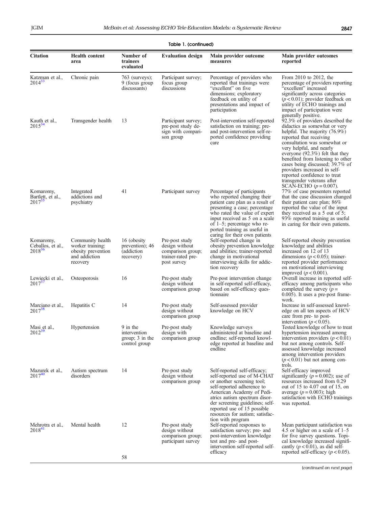|                                               | Table 1. (continued)                                                                    |                                                                |                                                                                            |                                                                                                                                                                                                                                                                                                     |                                                                                                                                                                                                                                                                                                                                                                                                                                          |  |
|-----------------------------------------------|-----------------------------------------------------------------------------------------|----------------------------------------------------------------|--------------------------------------------------------------------------------------------|-----------------------------------------------------------------------------------------------------------------------------------------------------------------------------------------------------------------------------------------------------------------------------------------------------|------------------------------------------------------------------------------------------------------------------------------------------------------------------------------------------------------------------------------------------------------------------------------------------------------------------------------------------------------------------------------------------------------------------------------------------|--|
| <b>Citation</b>                               | <b>Health content</b><br>area                                                           | Number of<br>trainees<br>evaluated                             | <b>Evaluation design</b>                                                                   | Main provider outcome<br>measures                                                                                                                                                                                                                                                                   | Main provider outcomes<br>reported                                                                                                                                                                                                                                                                                                                                                                                                       |  |
| Katzman et al.,<br>$2014^{33}$                | Chronic pain                                                                            | 763 (surveys);<br>9 (focus group<br>discussants)               | Participant survey;<br>focus group<br>discussions                                          | Percentage of providers who<br>reported that trainings were<br>"excellent" on five<br>dimensions; exploratory<br>feedback on utility of<br>presentations and impact of<br>participation                                                                                                             | From $2010$ to $2012$ , the<br>percentage of providers reporting<br>"excellent" increased<br>significantly across categories<br>$(p<0.01)$ ; provider feedback on<br>utility of ECHO trainings and<br>impact of participation were<br>generally positive.                                                                                                                                                                                |  |
| Kauth et al.,<br>$2015^{34}$                  | Transgender health                                                                      | 13                                                             | Participant survey;<br>pre-post study de-<br>sign with compari-<br>son group               | Post-intervention self-reported<br>satisfaction on training; pre-<br>and post-intervention self-re-<br>ported confidence providing<br>care                                                                                                                                                          | $92.3\%$ of providers described the<br>didactics as somewhat or very<br>helpful. The majority $(76.9\%)$<br>reported that receiving<br>consultation was somewhat or<br>very helpful, and nearly<br>everyone $(92.3\%)$ felt that they<br>benefited from listening to other<br>cases being discussed; 39.7% of<br>providers increased in self-<br>reported confidence to treat<br>transgender veterans after<br>SCAN-ECHO $(p = 0.007)$ . |  |
| Komaromy,<br>Bartlett, et al.,<br>$2017^{35}$ | Integrated<br>addictions and<br>psychiatry                                              | 41                                                             | Participant survey                                                                         | Percentage of participants<br>who reported changing their<br>patient care plan as a result of<br>presenting a case; percentage<br>who rated the value of expert<br>input received as 5 on a scale<br>of $1-5$ ; percentage who re-<br>ported training as useful in<br>caring for their own patients | 77% of case presenters reported<br>that the case discussion changed<br>their patient care plan; 86%<br>reported the value of the input<br>they received as a 5 out of 5;<br>93% reported training as useful<br>in caring for their own patients.                                                                                                                                                                                         |  |
| Komaromy,<br>Ceballos, et al.,<br>$2018^{36}$ | Community health<br>worker training:<br>obesity prevention<br>and addiction<br>recovery | 16 (obesity)<br>prevention); 46<br>(addiction)<br>recovery)    | Pre-post study<br>design without<br>comparison group;<br>trainer-rated pre-<br>post survey | Self-reported change in<br>obesity prevention knowledge<br>and abilities; trainer-reported<br>change in motivational<br>interviewing skills for addic-<br>tion recovery                                                                                                                             | Self-reported obesity prevention<br>knowledge and abilities<br>increased on 12 of 13<br>dimensions ( $p < 0.05$ ); trainer-<br>reported provider performance<br>on motivational interviewing<br>improved ( $p < 0.001$ ).                                                                                                                                                                                                                |  |
| Lewiecki et al.,<br>$2017^{37}$               | Osteoporosis                                                                            | 16                                                             | Pre-post study<br>design without<br>comparison group                                       | Pre-post intervention change<br>in self-reported self-efficacy,<br>based on self-efficacy ques-<br>tionnaire                                                                                                                                                                                        | Overall increase in reported self-<br>efficacy among participants who<br>completed the survey $(p =$<br>$0.005$ ). It uses a pre-post frame-<br>work.                                                                                                                                                                                                                                                                                    |  |
| Marciano et al.,<br>$2017^{38}$               | Hepatitis C                                                                             | 14                                                             | Pre-post study<br>design without<br>comparison group                                       | Self-assessed provider<br>knowledge on HCV                                                                                                                                                                                                                                                          | Increase in self-assessed knowl-<br>edge on all ten aspects of HCV<br>care from pre- to post-<br>intervention ( $p < 0.05$ ).                                                                                                                                                                                                                                                                                                            |  |
| Masi et al.,<br>$2012^{39}$                   | Hypertension                                                                            | 9 in the<br>intervention<br>group; $3$ in the<br>control group | Pre-post study<br>design with<br>comparison group                                          | Knowledge surveys<br>administered at baseline and<br>endline; self-reported knowl-<br>edge reported at baseline and<br>endline                                                                                                                                                                      | Tested knowledge of how to treat<br>hypertension increased among<br>intervention providers ( $p < 0.01$ )<br>but not among controls. Self-<br>assessed knowledge increased<br>among intervention providers<br>$(p<0.01)$ but not among con-<br>trols.                                                                                                                                                                                    |  |
| Mazurek et al.,<br>$2017^{40}$                | Autism spectrum<br>disorders                                                            | 14                                                             | Pre-post study<br>design without<br>comparison group                                       | Self-reported self-efficacy;<br>self-reported use of M-CHAT<br>or another screening tool;<br>self-reported adherence to<br>American Academy of Pedi-<br>atrics autism spectrum disor-<br>der screening guidelines; self-<br>reported use of 15 possible<br>resources for autism; satisfac-          | Self-efficacy improved<br>significantly ( $p = 0.002$ ); use of<br>resources increased from 0.29<br>out of 15 to 4.07 out of 15, on<br>average $(p = 0.003)$ ; high<br>satisfaction with ECHO trainings<br>was reported.                                                                                                                                                                                                                 |  |
| Mehrotra et al.,<br>$2018^{41}$               | Mental health                                                                           | 12                                                             | Pre-post study<br>design without<br>comparison group;<br>participant survey                | tion with program<br>Self-reported responses to<br>satisfaction survey; pre- and<br>post-intervention knowledge<br>test and pre- and post-<br>intervention self-reported self-<br>efficacy                                                                                                          | Mean participant satisfaction was<br>4.5 or higher on a scale of $1-5$<br>for five survey questions. Topi-<br>cal knowledge increased signifi-<br>cantly $(p < 0.01)$ , as did self-<br>reported self-efficacy ( $p < 0.05$ ).                                                                                                                                                                                                           |  |
|                                               |                                                                                         | 58                                                             |                                                                                            |                                                                                                                                                                                                                                                                                                     |                                                                                                                                                                                                                                                                                                                                                                                                                                          |  |

(continued on next page)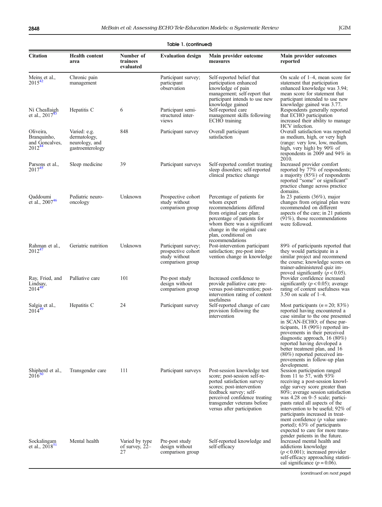| Table 1. (continued)                                      |                                                                    |                                        |                                                                                |                                                                                                                                                                                                                                                |                                                                                                                                                                                                                                                                                                                                                                                                                                                              |
|-----------------------------------------------------------|--------------------------------------------------------------------|----------------------------------------|--------------------------------------------------------------------------------|------------------------------------------------------------------------------------------------------------------------------------------------------------------------------------------------------------------------------------------------|--------------------------------------------------------------------------------------------------------------------------------------------------------------------------------------------------------------------------------------------------------------------------------------------------------------------------------------------------------------------------------------------------------------------------------------------------------------|
| <b>Citation</b>                                           | <b>Health content</b><br>area                                      | Number of<br>trainees<br>evaluated     | <b>Evaluation design</b>                                                       | Main provider outcome<br>measures                                                                                                                                                                                                              | Main provider outcomes<br>reported                                                                                                                                                                                                                                                                                                                                                                                                                           |
| Meins et al.,<br>$2015^{42}$                              | Chronic pain<br>management                                         |                                        | Participant survey;<br>participant<br>observation                              | Self-reported belief that<br>participation enhanced<br>knowledge of pain<br>management; self-report that<br>participant intends to use new<br>knowledge gained                                                                                 | On scale of $1-4$ , mean score for<br>statement that participation<br>enhanced knowledge was 3.94;<br>mean score for statement that<br>participant intended to use new                                                                                                                                                                                                                                                                                       |
| Ní Cheallaigh<br>et al., $2017^{43}$                      | Hepatitis C                                                        | 6                                      | Participant semi-<br>structured inter-<br>views                                | Self-reported care<br>management skills following<br>ECHO training                                                                                                                                                                             | knowledge gained was 3.77.<br>Respondents generally reported<br>that ECHO participation<br>increased their ability to manage<br>HCV infection.                                                                                                                                                                                                                                                                                                               |
| Oliveira,<br>Branquinho,<br>and Goncalves,<br>$2012^{44}$ | Varied: e.g.<br>dermatology,<br>neurology, and<br>gastroenterology | 848                                    | Participant survey                                                             | Overall participant<br>satisfaction                                                                                                                                                                                                            | Overall satisfaction was reported<br>as medium, high, or very high<br>(range: very low, low, medium,<br>high, very high) by 90% of<br>respondents in 2009 and 94% in<br>2010.                                                                                                                                                                                                                                                                                |
| Parsons et al.,<br>$2017^{45}$                            | Sleep medicine                                                     | 39                                     | Participant surveys                                                            | Self-reported comfort treating<br>sleep disorders; self-reported<br>clinical practice change                                                                                                                                                   | Increased provider comfort<br>reported by 77% of respondents;<br>a majority $(85%)$ of respondents<br>reported "some" or significant"<br>practice change across practice<br>domains.                                                                                                                                                                                                                                                                         |
| Qaddoumi<br>et al., 200746                                | Pediatric neuro-<br>oncology                                       | Unknown                                | Prospective cohort<br>study without<br>comparison group                        | Percentage of patients for<br>whom expert<br>recommendations differed<br>from original care plan;<br>percentage of patients for<br>whom there was a significant<br>change in the original care<br>plan, conditional on<br>recommendations      | In 23 patients $(36\%)$ , major<br>changes from original plan were<br>recommended on different<br>aspects of the care; in 21 patients<br>$(91\%)$ , those recommendations<br>were followed.                                                                                                                                                                                                                                                                  |
| Rahman et al.,<br>$2012^{47}$                             | Geriatric nutrition                                                | Unknown                                | Participant survey;<br>prospective cohort<br>study without<br>comparison group | Post-intervention participant<br>satisfaction; pre-post inter-<br>vention change in knowledge                                                                                                                                                  | 89% of participants reported that<br>they would participate in a<br>similar project and recommend<br>the course; knowledge scores on<br>trainer-administered quiz im-<br>proved significantly $(p < 0.05)$ .                                                                                                                                                                                                                                                 |
| Ray, Fried, and<br>Lindsay,<br>$2014^{48}$                | Palliative care                                                    | 101                                    | Pre-post study<br>design without<br>comparison group                           | Increased confidence to<br>provide palliative care pre-<br>versus post-intervention; post-<br>intervention rating of content<br>usefulness                                                                                                     | Provider confidence increased<br>significantly ( $p < 0.05$ ); average<br>rating of content usefulness was<br>3.50 on scale of $1-4$ .                                                                                                                                                                                                                                                                                                                       |
| Salgia et al.,<br>$2014^{49}$                             | Hepatitis C                                                        | 24                                     | Participant survey                                                             | Self-reported change of care<br>provision following the<br>intervention                                                                                                                                                                        | Most participants $(n = 20, 83\%)$<br>reported having encountered a<br>case similar to the one presented<br>in SCAN-ECHO; of these par-<br>ticipants, 18 (90%) reported im-<br>provements in their perceived<br>diagnostic approach, 16 (80%)<br>reported having developed a<br>better treatment plan, and 16<br>(80%) reported perceived im-<br>provements in follow-up plan<br>development.                                                                |
| Shipherd et al.,<br>$2016^{3}$                            | Transgender care                                                   | 111                                    | Participant surveys                                                            | Post-session knowledge test<br>score; post-session self-re-<br>ported satisfaction survey<br>scores; post-intervention<br>feedback survey; self-<br>perceived confidence treating<br>transgender veterans before<br>versus after participation | Session participation ranged<br>from 11 to 57, with $93\%$<br>receiving a post-session knowl-<br>edge survey score greater than<br>80%; average session satisfaction<br>was 4.28 on 0–5 scale; partici-<br>pants rated all aspects of the<br>intervention to be useful: 92% of<br>participants increased in treat-<br>ment confidence $(p$ value unre-<br>ported); 63% of participants<br>expected to care for more trans-<br>gender patients in the future. |
| Sockalingam<br>et al., $2018$ <sup>31</sup>               | Mental health                                                      | Varied by type<br>of survey, 22-<br>27 | Pre-post study<br>design without<br>comparison group                           | Self-reported knowledge and<br>self-efficacy                                                                                                                                                                                                   | Increased mental health and<br>addictions knowledge<br>$(p < 0.001)$ ; increased provider<br>self-efficacy approaching statisti-<br>cal significance ( $p = 0.06$ ).                                                                                                                                                                                                                                                                                         |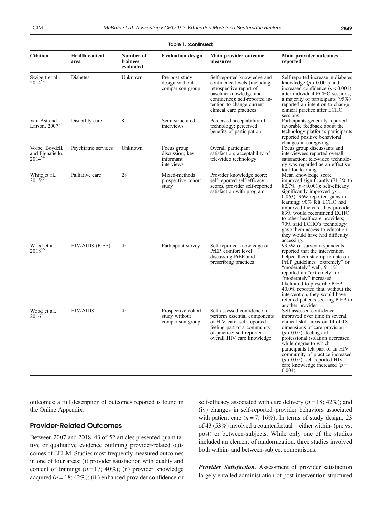|                                                    |                               |                                    | Table 1. (continued)                                      |                                                                                                                                                                                                             |                                                                                                                                                                                                                                                                                                                                                                                                                     |
|----------------------------------------------------|-------------------------------|------------------------------------|-----------------------------------------------------------|-------------------------------------------------------------------------------------------------------------------------------------------------------------------------------------------------------------|---------------------------------------------------------------------------------------------------------------------------------------------------------------------------------------------------------------------------------------------------------------------------------------------------------------------------------------------------------------------------------------------------------------------|
| <b>Citation</b>                                    | <b>Health content</b><br>area | Number of<br>trainees<br>evaluated | <b>Evaluation design</b>                                  | Main provider outcome<br>measures                                                                                                                                                                           | Main provider outcomes<br>reported                                                                                                                                                                                                                                                                                                                                                                                  |
| Swigert et al.,<br>$2014^{52}$                     | Diabetes                      | Unknown                            | Pre-post study<br>design without<br>comparison group      | Self-reported knowledge and<br>confidence levels (including)<br>retrospective report of<br>baseline knowledge and<br>confidence); self-reported in-<br>tention to change current<br>clinical care practices | Self-reported increase in diabetes<br>knowledge $(p < 0.001)$ and<br>increased confidence $(p < 0.001)$<br>after individual ECHO sessions;<br>a majority of participants (95%)<br>reported an intention to change<br>clinical practice after ECHO<br>sessions.                                                                                                                                                      |
| Van Ast and<br>Larson, $200753$                    | Disability care               | 8                                  | Semi-structured<br>interviews                             | Perceived acceptability of<br>technology; perceived<br>benefits of participation                                                                                                                            | Participants generally reported<br>favorable feedback about the<br>technology platform; participants<br>reported positive behavioral<br>changes in caregiving.                                                                                                                                                                                                                                                      |
| Volpe, Boydell,<br>and Pignatiello,<br>$2014^{54}$ | Psychiatric services          | Unknown                            | Focus group<br>discussion; key<br>informant<br>interviews | Overall participant<br>satisfaction; acceptability of<br>tele-video technology                                                                                                                              | Focus group discussants and<br>interviewees reported overall<br>satisfaction; tele-video technolo-<br>gy was regarded as an effective<br>tool for learning.                                                                                                                                                                                                                                                         |
| White et al.,<br>$2015^{55}$                       | Palliative care               | 28                                 | Mixed-methods<br>prospective cohort<br>study              | Provider knowledge score;<br>self-reported self-efficacy<br>scores, provider self-reported<br>satisfaction with program                                                                                     | Mean knowledge score<br>improved significantly (71.3% to<br>82.7%, $p < 0.001$ ; self-efficacy<br>significantly improved $(p =$<br>$(0.063)$ ; 96% reported gains in<br>learning; 90% felt ECHO had<br>improved the care they provide;<br>83% would recommend ECHO<br>to other healthcare providers;<br>70% said ECHO's technology<br>gave them access to education<br>they would have had difficulty<br>accessing. |
| Wood et al.,<br>$2018^{36}$                        | HIV/AIDS (PrEP)               | 45                                 | Participant survey                                        | Self-reported knowledge of<br>PrEP, comfort level<br>discussing PrEP, and<br>prescribing practices                                                                                                          | 93.3% of survey respondents<br>reported that the intervention<br>helped them stay up to date on<br>PrEP guidelines "extremely" or<br>"moderately" well; 91.1%<br>reported an "extremely" or<br>"moderately" increased<br>likelihood to prescribe PrEP;<br>40.0% reported that, without the<br>intervention, they would have<br>referred patients seeking PrEP to<br>another provider.                               |
| Wood et al.,<br>$2016^3$                           | <b>HIV/AIDS</b>               | 45                                 | Prospective cohort<br>study without<br>comparison group   | Self-assessed confidence to<br>perform essential components<br>of HIV care; self-reported<br>feeling part of a community<br>of practice; self-reported<br>overall HIV care knowledge                        | Self-assessed confidence<br>improved over time in several<br>clinical skill areas on 14 of 18<br>dimensions of care provision<br>$(p<0.05)$ ; feelings of<br>professional isolation decreased<br>while degree to which<br>participants felt part of an HIV<br>community of practice increased<br>$(p < 0.05)$ ; self-reported HIV<br>care knowledge increased $(p =$<br>$0.004$ ).                                  |

outcomes; a full description of outcomes reported is found in the Online Appendix.

#### Provider-Related Outcomes

Between 2007 and 2018, 43 of 52 articles presented quantitative or qualitative evidence outlining provider-related outcomes of EELM. Studies most frequently measured outcomes in one of four areas: (i) provider satisfaction with quality and content of trainings  $(n = 17; 40\%)$ ; (ii) provider knowledge acquired  $(n = 18; 42\%)$ ; (iii) enhanced provider confidence or

self-efficacy associated with care delivery ( $n = 18$ ; 42%); and (iv) changes in self-reported provider behaviors associated with patient care  $(n=7; 16\%)$ . In terms of study design, 23 of 43 (53%) involved a counterfactual—either within- (pre vs. post) or between-subjects. While only one of the studies included an element of randomization, three studies involved both within- and between-subject comparisons.

Provider Satisfaction. Assessment of provider satisfaction largely entailed administration of post-intervention structured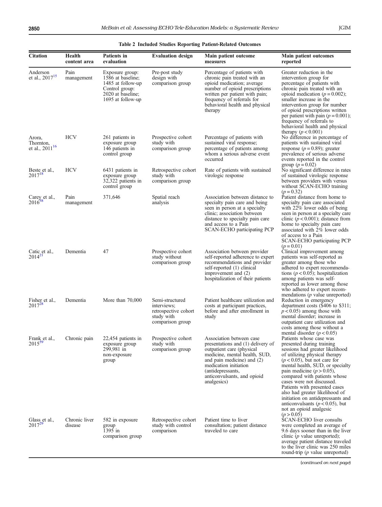<span id="page-10-0"></span>

| <b>Citation</b>                            | Health<br>content area   | Patients in<br>evaluation                                                                                             | <b>Evaluation design</b>                                                                 | Main patient outcome<br>measures                                                                                                                                                                                                                      | Main patient outcomes<br>reported                                                                                                                                                                                                                                                                                                                                                                                                                                                                                      |
|--------------------------------------------|--------------------------|-----------------------------------------------------------------------------------------------------------------------|------------------------------------------------------------------------------------------|-------------------------------------------------------------------------------------------------------------------------------------------------------------------------------------------------------------------------------------------------------|------------------------------------------------------------------------------------------------------------------------------------------------------------------------------------------------------------------------------------------------------------------------------------------------------------------------------------------------------------------------------------------------------------------------------------------------------------------------------------------------------------------------|
| Anderson<br>et al., 2017 <sup>15</sup>     | Pain<br>management       | Exposure group:<br>1586 at baseline;<br>1485 at follow-up<br>Control group:<br>2020 at baseline;<br>1695 at follow-up | Pre-post study<br>design with<br>comparison group                                        | Percentage of patients with<br>chronic pain treated with an<br>opioid medication; average<br>number of opioid prescriptions<br>written per patient with pain;<br>frequency of referrals for<br>behavioral health and physical<br>therapy              | Greater reduction in the<br>intervention group for<br>percentage of patients with<br>chronic pain treated with an<br>opioid medication ( $p = 0.002$ );<br>smaller increase in the<br>intervention group for number<br>of opioid prescriptions written<br>per patient with pain $(p = 0.001)$ ;<br>frequency of referrals to<br>behavioral health and physical                                                                                                                                                         |
| Arora,<br>Thornton,<br>et al., $2011^{16}$ | <b>HCV</b>               | 261 patients in<br>exposure group<br>146 patients in<br>control group                                                 | Prospective cohort<br>study with<br>comparison group                                     | Percentage of patients with<br>sustained viral response;<br>percentage of patients among<br>whom a serious adverse event<br>occurred                                                                                                                  | therapy $(p < 0.001)$<br>No difference in percentage of<br>patients with sustained viral<br>response ( $p = 0.89$ ); greater<br>prevalence of serious adverse<br>events reported in the control                                                                                                                                                                                                                                                                                                                        |
| Beste et al.,<br>$2017^{18}$               | <b>HCV</b>               | 6431 patients in<br>exposure group<br>32,322 patients in<br>control group                                             | Retrospective cohort<br>study with<br>comparison group                                   | Rate of patients with sustained<br>virologic response                                                                                                                                                                                                 | group ( $p = 0.02$ )<br>No significant difference in rates<br>of sustained virologic response<br>between providers with versus<br>without SCAN-ECHO training<br>$(p = 0.32)$                                                                                                                                                                                                                                                                                                                                           |
| Carey et al.,<br>$2016^{38}$               | Pain<br>management       | 371,646                                                                                                               | Spatial reach<br>analysis                                                                | Association between distance to<br>specialty pain care and being<br>seen in person at a specialty<br>clinic; association between<br>distance to specialty pain care<br>and access to a Pain<br>SCAN-ECHO participating PCP                            | Patient distance from home to<br>specialty pain care associated<br>with 22% lower odds of being<br>seen in person at a specialty care<br>clinic ( $p < 0.001$ ); distance from<br>home to specialty pain care<br>associated with 2% lower odds<br>of access to a Pain<br>SCAN-ECHO participating PCP                                                                                                                                                                                                                   |
| Catic et al.,<br>$2014^{21}$               | Dementia                 | 47                                                                                                                    | Prospective cohort<br>study without<br>comparison group                                  | Association between provider<br>self-reported adherence to expert<br>recommendations and provider<br>self-reported (1) clinical<br>improvement and (2)<br>hospitalization of their patients                                                           | $(p = 0.01)$<br>Clinical improvement among<br>patients was self-reported as<br>greater among those who<br>adhered to expert recommenda-<br>tions ( $p < 0.05$ ); hospitalization<br>among patients was self-<br>reported as lower among those<br>who adhered to expert recom-                                                                                                                                                                                                                                          |
| Fisher et al.,<br>$2017^{28}$              | Dementia                 | More than 70,000                                                                                                      | Semi-structured<br>interviews;<br>retrospective cohort<br>study with<br>comparison group | Patient healthcare utilization and<br>costs at participant practices,<br>before and after enrollment in<br>study                                                                                                                                      | mendations $(p$ value unreported)<br>Reduction in emergency<br>department costs (\$406 to \$311;<br>$p < 0.05$ ) among those with<br>mental disorder; increase in<br>outpatient care utilization and<br>costs among those without a                                                                                                                                                                                                                                                                                    |
| Frank et al.,<br>$2015^{35}$               | Chronic pain             | 22,454 patients in<br>exposure group<br>299,981 in<br>non-exposure<br>group                                           | Prospective cohort<br>study with<br>comparison group                                     | Association between case<br>presentations and (1) delivery of<br>outpatient care (physical<br>medicine, mental health, SUD,<br>and pain medicine) and (2)<br>medication initiation<br>(antidepressants,<br>anticonvulsants, and opioid<br>analgesics) | mental disorder ( $p < 0.05$ )<br>Patients whose case was<br>presented during training<br>sessions had greater likelihood<br>of utilizing physical therapy<br>$(p < 0.05)$ , but not care for<br>mental health, SUD, or specialty<br>pain medicine $(p > 0.05)$ ,<br>compared with patients whose<br>cases were not discussed.<br>Patients with presented cases<br>also had greater likelihood of<br>initiation on antidepressants and<br>anticonvulsants ( $p < 0.05$ ), but<br>not an opioid analgesic<br>(p > 0.05) |
| Glass et al.,<br>$2017^{2}$                | Chronic liver<br>disease | 582 in exposure<br>group<br>1395 in<br>comparison group                                                               | Retrospective cohort<br>study with control<br>comparison                                 | Patient time to liver<br>consultation; patient distance<br>traveled to care                                                                                                                                                                           | SCAN-ECHO liver consults<br>were completed an average of<br>9.6 days sooner than in the liver<br>clinic $(p$ value unreported);<br>average patient distance traveled<br>to the liver clinic was 250 miles<br>round-trip $(p$ value unreported)                                                                                                                                                                                                                                                                         |

#### Table 2 Included Studies Reporting Patient-Related Outcomes

(continued on next page)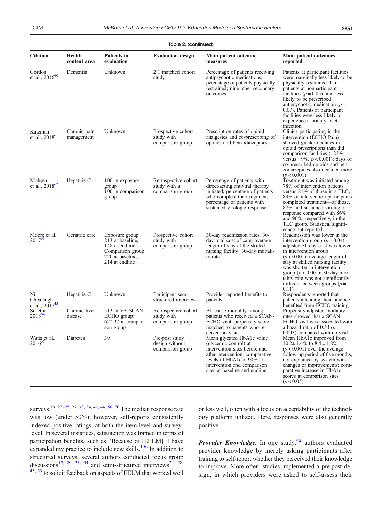| <b>Citation</b>                         | Health<br>content area     | <b>Patients</b> in<br>evaluation                                                                                 | <b>Evaluation design</b>                                 | Main patient outcome<br>measures                                                                                                                                                                                       | Main patient outcomes<br>reported                                                                                                                                                                                                                                                                                                                             |
|-----------------------------------------|----------------------------|------------------------------------------------------------------------------------------------------------------|----------------------------------------------------------|------------------------------------------------------------------------------------------------------------------------------------------------------------------------------------------------------------------------|---------------------------------------------------------------------------------------------------------------------------------------------------------------------------------------------------------------------------------------------------------------------------------------------------------------------------------------------------------------|
| Gordon<br>et al., $2016^{60}$           | Dementia                   | Unknown                                                                                                          | 2:1 matched cohort<br>study                              | Percentage of patients receiving<br>antipsychotic medications;<br>percentage of patients physically<br>restrained; nine other secondary<br>outcomes                                                                    | Patients at participant facilities<br>were marginally less likely to be<br>physically restrained than<br>patients at nonparticipant<br>facilities ( $p = 0.05$ ), and less<br>likely to be prescribed<br>antipsychotic medication $(p =$<br>0.07). Patients at participant<br>facilities were less likely to<br>experience a urinary tract<br>infection       |
| Katzman<br>et al., $2018^{61}$          | Chronic pain<br>management | Unknown                                                                                                          | Prospective cohort<br>study with<br>comparison group     | Prescription rates of opioid<br>analgesics and co-prescribing of<br>opioids and benzodiazepines                                                                                                                        | Clinics participating in the<br>intervention (ECHO Pain)<br>showed greater declines in<br>opioid prescriptions than did<br>comparison facilities $(-23\%)$<br>versus $-9\%, p < 0.001$ ; days of<br>co-prescribed opioids and ben-<br>zodiazepines also declined more<br>(p < 0.001)                                                                          |
| Mohsen<br>et al., 2018 <sup>62</sup>    | Hepatitis C                | 100 in exposure<br>group<br>100 in comparison<br>group                                                           | Retrospective cohort<br>study with a<br>comparison group | Percentage of patients with<br>direct-acting antiviral therapy<br>initiated; percentage of patients<br>who complete their regimen;<br>percentage of patients with<br>sustained virologic response                      | Treatment was initiated among<br>78% of intervention patients<br>versus $81\%$ of those in a TLC;<br>89% of intervention participants<br>completed treatment—of those,<br>87% had sustained virologic<br>response compared with 86%<br>and 96%, respectively, in the<br>TLC group. Statistical signifi-<br>cance not reported                                 |
| Moore et al.,<br>$2017^{63}$            | Geriatric care             | Exposure group:<br>213 at baseline,<br>148 at endline<br>Comparison group:<br>220 at baseline,<br>214 at endline | Prospective cohort<br>study with<br>comparison group     | 30-day readmission rates; 30-<br>day total cost of care; average<br>length of stay at the skilled<br>nursing facility; 30-day mortali-<br>ty rate                                                                      | Readmission was lower in the<br>intervention group ( $p = 0.04$ );<br>adjusted 30-day cost was lower<br>in intervention group<br>$(p < 0.001)$ ; average length of<br>stay at skilled nursing facility<br>was shorter in intervention<br>group ( $p < 0.001$ ); 30-day mor-<br>tality rate was not significantly<br>different between groups ( $p =$<br>0.11) |
| Ní<br>Cheallaigh<br>et al., $2017^{43}$ | Hepatitis C                | Unknown                                                                                                          | Participant semi-<br>structured interviews               | Provider-reported benefits to<br>patients                                                                                                                                                                              | Respondents reported that<br>patients attending their practice<br>benefited from ECHO training                                                                                                                                                                                                                                                                |
| Su et al.,<br>201864                    | Chronic liver<br>disease   | 513 in VA SCAN-<br>ECHO group;<br>$62,237$ in compari-<br>son group                                              | Retrospective cohort<br>study with<br>comparison group   | All-cause mortality among<br>patients who received a SCAN-<br>ECHO visit, propensity score<br>matched to patients who re-<br>ceived no visits                                                                          | Propensity-adjusted mortality<br>rates showed that a SCAN-<br>ECHO visit was associated with<br>a hazard ratio of 0.54 ( $p =$<br>0.003) compared with no visit                                                                                                                                                                                               |
| Watts et al.,<br>2016 <sup>65</sup>     | Diabetes                   | 39                                                                                                               | Pre-post study<br>design without<br>comparison group     | Mean glycated HbA1c value<br>(glycemic control) at<br>intervention sites before and<br>after intervention; comparative<br>levels of $HbA1c > 9.0\%$ at<br>intervention and comparison<br>sites at baseline and endline | Mean HbA1c improved from<br>$10.2 \pm 1.4\%$ to $8.4 \pm 1.8\%$<br>$(p < 0.001)$ over the average<br>follow-up period of five months,<br>not explained by system-wide<br>changes or improvements; com-<br>parative increase in HbA1c<br>scores at comparison sites<br>(p < 0.05)                                                                              |

#### Table 2. (continued)

surveys[.19](#page-15-0), [23](#page-15-0)–[25](#page-15-0), [27](#page-16-0), [33, 34, 41, 44, 50](#page-16-0), [70](#page-17-0) The median response rate was low (under 50%); however, self-reports consistently indexed positive ratings, at both the item-level and surveylevel. In several instances, satisfaction was framed in terms of participation benefits, such as "Because of [EELM], I have expanded my practice to include new skills.<sup>[19](#page-15-0)</sup>" In addition to structured surveys, several authors conducted focus group discussions<sup>17, [20](#page-15-0), [33, 54](#page-16-0)</sup> and semi-structured interviews<sup>[24](#page-15-0), [28](#page-16-0),</sup> <sup>[43](#page-16-0), [53](#page-16-0)</sup> to solicit feedback on aspects of EELM that worked well

or less well, often with a focus on acceptability of the technology platform utilized. Here, responses were also generally positive.

**Provider Knowledge.** In one study, $42$  authors evaluated provider knowledge by merely asking participants after training to self-report whether they perceived their knowledge to improve. More often, studies implemented a pre-post design, in which providers were asked to self-assess their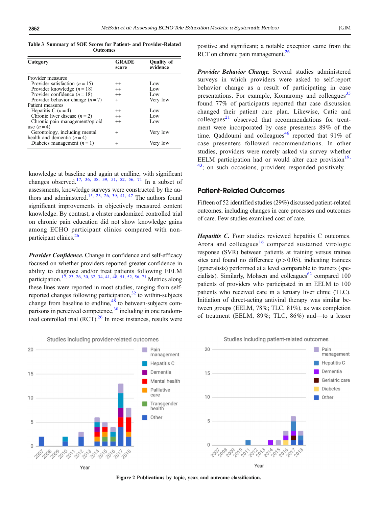<span id="page-12-0"></span>Table 3 Summary of SOE Scores for Patient- and Provider-Related **Outcomes** 

| Category                         | <b>GRADE</b><br>score | <b>Ouality of</b><br>evidence |
|----------------------------------|-----------------------|-------------------------------|
| Provider measures                |                       |                               |
| Provider satisfaction $(n = 15)$ | $^{++}$               | Low                           |
| Provider knowledge $(n = 18)$    | $^{++}$               | Low                           |
| Provider confidence $(n = 18)$   | $^{++}$               | Low                           |
| Provider behavior change $(n=7)$ | $^{+}$                | Very low                      |
| Patient measures                 |                       |                               |
| Hepatitis C $(n=4)$              | $^{++}$               | Low                           |
| Chronic liver disease $(n=2)$    | $^{++}$               | Low                           |
| Chronic pain management/opioid   | $^{++}$               | Low                           |
| use $(n=4)$                      |                       |                               |
| Gerontology, including mental    | $\ddot{}$             | Very low                      |
| health and dementia $(n=4)$      |                       |                               |
| Diabetes management $(n = 1)$    | $\hbox{ }$            | Very low                      |

knowledge at baseline and again at endline, with significant changes observed.<sup>17, [36](#page-16-0), [38, 39](#page-16-0), [51, 52](#page-16-0), [56](#page-16-0), [71](#page-17-0)</sup> In a subset of assessments, knowledge surveys were constructed by the au-thors and administered.<sup>15, 23, [26,](#page-15-0) [39](#page-16-0), [41, 47](#page-16-0)</sup> The authors found significant improvements in objectively measured content knowledge. By contrast, a cluster randomized controlled trial on chronic pain education did not show knowledge gains among ECHO participant clinics compared with nonparticipant clinics.<sup>26</sup>

Provider Confidence. Change in confidence and self-efficacy focused on whether providers reported greater confidence in ability to diagnose and/or treat patients following EELM participation.<sup>[17](#page-15-0), [23, 26](#page-15-0), [30](#page-16-0), [32, 34](#page-16-0), [41](#page-16-0), [48, 51](#page-16-0), [52, 56](#page-16-0), [71](#page-17-0)</sup> Metrics along these lines were reported in most studies, ranging from selfreported changes following participation, $32$  to within-subjects change from baseline to endline,<sup>48</sup> to between-subjects comparisons in perceived competence,<sup>30</sup> including in one randomized controlled trial  $(RCT)$ .<sup>26</sup> In most instances, results were





positive and significant; a notable exception came from the RCT on chronic pain management.<sup>26</sup>

Provider Behavior Change. Several studies administered surveys in which providers were asked to self-report behavior change as a result of participating in case presentations. For example, Komaromy and colleagues<sup>[35](#page-16-0)</sup> found 77% of participants reported that case discussion changed their patient care plan. Likewise, Catic and colleagues<sup>[21](#page-15-0)</sup> observed that recommendations for treatment were incorporated by case presenters 89% of the time. Qaddoumi and colleagues<sup>[46](#page-16-0)</sup> reported that  $91\%$  of case presenters followed recommendations. In other studies, providers were merely asked via survey whether EELM participation had or would alter care provision $19$ , <sup>43</sup>; on such occasions, providers responded positively.

#### Patient-Related Outcomes

Fifteen of 52 identified studies (29%) discussed patient-related outcomes, including changes in care processes and outcomes of care. Few studies examined cost of care.

Hepatitis C. Four studies reviewed hepatitis C outcomes. Arora and colleagues $16$  compared sustained virologic response (SVR) between patients at training versus trainee sites and found no difference  $(p > 0.05)$ , indicating trainees (generalists) performed at a level comparable to trainers (specialists). Similarly, Mohsen and colleagues $62$  compared 100 patients of providers who participated in an EELM to 100 patients who received care in a tertiary liver clinic (TLC). Initiation of direct-acting antiviral therapy was similar between groups (EELM, 78%; TLC, 81%), as was completion of treatment (EELM, 89%; TLC, 86%) and—to a lesser



Yea

Studies including patient-related outcomes

Figure 2 Publications by topic, year, and outcome classification.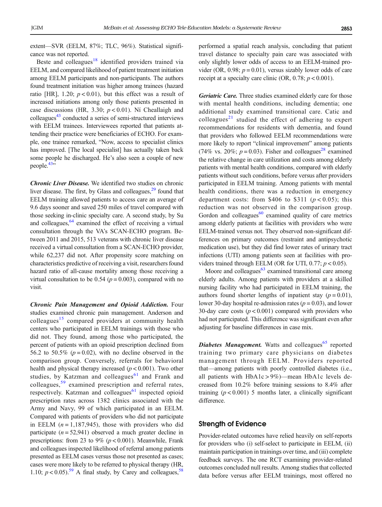extent—SVR (EELM, 87%; TLC, 96%). Statistical significance was not reported.

Beste and colleagues $18$  identified providers trained via EELM, and compared likelihood of patient treatment initiation among EELM participants and non-participants. The authors found treatment initiation was higher among trainees (hazard ratio [HR], 1.20;  $p < 0.01$ ), but this effect was a result of increased initiations among only those patients presented in case discussions (HR, 3.30;  $p < 0.01$ ). Ní Cheallaigh and colleagues<sup>[43](#page-16-0)</sup> conducted a series of semi-structured interviews with EELM trainees. Interviewees reported that patients attending their practice were beneficiaries of ECHO. For example, one trainee remarked, "Now, access to specialist clinics has improved. [The local specialist] has actually taken back some people he discharged. He's also seen a couple of new people. $43$ "

Chronic Liver Disease. We identified two studies on chronic liver disease. The first, by Glass and colleagues, $29$  found that EELM training allowed patients to access care an average of 9.6 days sooner and saved 250 miles of travel compared with those seeking in-clinic specialty care. A second study, by Su and colleagues, $64$  examined the effect of receiving a virtual consultation through the VA's SCAN-ECHO program. Between 2011 and 2015, 513 veterans with chronic liver disease received a virtual consultation from a SCAN-ECHO provider, while 62,237 did not. After propensity score matching on characteristics predictive of receiving a visit, researchers found hazard ratio of all-cause mortality among those receiving a virtual consultation to be 0.54 ( $p = 0.003$ ), compared with no visit.

Chronic Pain Management and Opioid Addiction. Four studies examined chronic pain management. Anderson and colleagues<sup>[15](#page-15-0)</sup> compared providers at community health centers who participated in EELM trainings with those who did not. They found, among those who participated, the percent of patients with an opioid prescription declined from 56.2 to 50.5% ( $p = 0.02$ ), with no decline observed in the comparison group. Conversely, referrals for behavioral health and physical therapy increased  $(p < 0.001)$ . Two other studies, by Katzman and colleagues $61$  and Frank and colleagues,[59](#page-16-0) examined prescription and referral rates, respectively. Katzman and colleagues $61$  inspected opioid prescription rates across 1382 clinics associated with the Army and Navy, 99 of which participated in an EELM. Compared with patients of providers who did not participate in EELM  $(n = 1,187,945)$ , those with providers who did participate  $(n = 52,941)$  observed a much greater decline in prescriptions: from 23 to 9% ( $p < 0.001$ ). Meanwhile, Frank and colleagues inspected likelihood of referral among patients presented as EELM cases versus those not presented as cases; cases were more likely to be referred to physical therapy (HR, 1.10;  $p < 0.05$ ).<sup>59</sup> A final study, by Carey and colleagues,<sup>[58](#page-16-0)</sup>

performed a spatial reach analysis, concluding that patient travel distance to specialty pain care was associated with only slightly lower odds of access to an EELM-trained provider (OR, 0.98;  $p = 0.01$ ), versus sizably lower odds of care receipt at a specialty care clinic (OR, 0.78;  $p < 0.001$ ).

Geriatric Care. Three studies examined elderly care for those with mental health conditions, including dementia; one additional study examined transitional care. Catic and colleagues<sup>[21](#page-15-0)</sup> studied the effect of adhering to expert recommendations for residents with dementia, and found that providers who followed EELM recommendations were more likely to report "clinical improvement" among patients (74% vs. 20%;  $p = 0.03$ ). Fisher and colleagues<sup>28</sup> examined the relative change in care utilization and costs among elderly patients with mental health conditions, compared with elderly patients without such conditions, before versus after providers participated in EELM training. Among patients with mental health conditions, there was a reduction in emergency department costs: from \$406 to \$311 ( $p < 0.05$ ); this reduction was not observed in the comparison group. Gordon and colleagues $60$  examined quality of care metrics among elderly patients at facilities with providers who were EELM-trained versus not. They observed non-significant differences on primary outcomes (restraint and antipsychotic medication use), but they did find lower rates of urinary tract infections (UTI) among patients seen at facilities with providers trained through EELM (OR for UTI,  $0.77$ ;  $p < 0.05$ ).

Moore and colleagues $63$  examined transitional care among elderly adults. Among patients with providers at a skilled nursing facility who had participated in EELM training, the authors found shorter lengths of inpatient stay  $(p = 0.01)$ , lower 30-day hospital re-admission rates ( $p = 0.03$ ), and lower 30-day care costs  $(p < 0.001)$  compared with providers who had not participated. This difference was significant even after adjusting for baseline differences in case mix.

**Diabetes Management.** Watts and colleagues<sup>[65](#page-17-0)</sup> reported training two primary care physicians on diabetes management through EELM. Providers reported that—among patients with poorly controlled diabetes (i.e., all patients with HbA1c > 9%)—mean HbA1c levels decreased from 10.2% before training sessions to 8.4% after training  $(p < 0.001)$  5 months later, a clinically significant difference.

#### Strength of Evidence

Provider-related outcomes have relied heavily on self-reports for providers who (i) self-select to participate in EELM, (ii) maintain participation in trainings over time, and (iii) complete feedback surveys. The one RCT examining provider-related outcomes concluded null results. Among studies that collected data before versus after EELM trainings, most offered no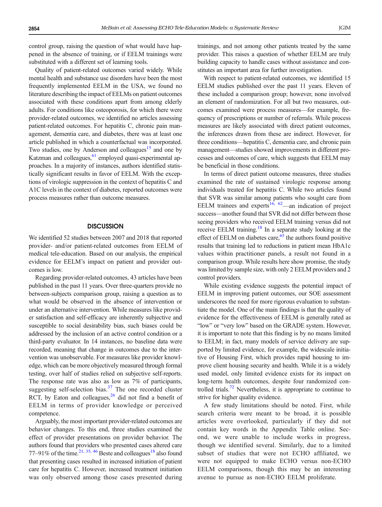control group, raising the question of what would have happened in the absence of training, or if EELM trainings were substituted with a different set of learning tools.

Quality of patient-related outcomes varied widely. While mental health and substance use disorders have been the most frequently implemented EELM in the USA, we found no literature describing the impact of EELMs on patient outcomes associated with these conditions apart from among elderly adults. For conditions like osteoporosis, for which there were provider-related outcomes, we identified no articles assessing patient-related outcomes. For hepatitis C, chronic pain management, dementia care, and diabetes, there was at least one article published in which a counterfactual was incorporated. Two studies, one by Anderson and colleagues<sup>15</sup> and one by Katzman and colleagues, $61$  employed quasi-experimental approaches. In a majority of instances, authors identified statistically significant results in favor of EELM. With the exceptions of virologic suppression in the context of hepatitis C and A1C levels in the context of diabetes, reported outcomes were process measures rather than outcome measures.

#### **DISCUSSION**

We identified 52 studies between 2007 and 2018 that reported provider- and/or patient-related outcomes from EELM of medical tele-education. Based on our analysis, the empirical evidence for EELM's impact on patient and provider outcomes is low.

Regarding provider-related outcomes, 43 articles have been published in the past 11 years. Over three-quarters provide no between-subjects comparison group, raising a question as to what would be observed in the absence of intervention or under an alternative intervention. While measures like provider satisfaction and self-efficacy are inherently subjective and susceptible to social desirability bias, such biases could be addressed by the inclusion of an active control condition or a third-party evaluator. In 14 instances, no baseline data were recorded, meaning that change in outcomes due to the intervention was unobservable. For measures like provider knowledge, which can be more objectively measured through formal testing, over half of studies relied on subjective self-reports. The response rate was also as low as 7% of participants, suggesting self-selection bias. $37$  The one recorded cluster RCT, by Eaton and colleagues, $26$  did not find a benefit of EELM in terms of provider knowledge or perceived competence.

Arguably, the most important provider-related outcomes are behavior changes. To this end, three studies examined the effect of provider presentations on provider behavior. The authors found that providers who presented cases altered care 77–91% of the time.<sup>[21](#page-15-0), [35](#page-16-0), [46](#page-16-0)</sup> Beste and colleagues<sup>18</sup> also found that presenting cases resulted in increased initiation of patient care for hepatitis C. However, increased treatment initiation was only observed among those cases presented during trainings, and not among other patients treated by the same provider. This raises a question of whether EELM are truly building capacity to handle cases without assistance and constitutes an important area for further investigation.

With respect to patient-related outcomes, we identified 15 EELM studies published over the past 11 years. Eleven of these included a comparison group; however, none involved an element of randomization. For all but two measures, outcomes examined were process measures—for example, frequency of prescriptions or number of referrals. While process measures are likely associated with direct patient outcomes, the inferences drawn from these are indirect. However, for three conditions—hepatitis C, dementia care, and chronic pain management—studies showed improvements in different processes and outcomes of care, which suggests that EELM may be beneficial in those conditions.

In terms of direct patient outcome measures, three studies examined the rate of sustained virologic response among individuals treated for hepatitis C. While two articles found that SVR was similar among patients who sought care from EELM trainees and experts<sup>[16](#page-15-0), [62](#page-16-0)</sup>—an indication of project success—another found that SVR did not differ between those seeing providers who received EELM training versus did not receive EELM training.<sup>[18](#page-15-0)</sup> In a separate study looking at the effect of EELM on diabetes care, $65$  the authors found positive results that training led to reductions in patient mean HbA1c values within practitioner panels, a result not found in a comparison group. While results here show promise, the study was limited by sample size, with only 2 EELM providers and 2 control providers.

While existing evidence suggests the potential impact of EELM in improving patient outcomes, our SOE assessment underscores the need for more rigorous evaluation to substantiate the model. One of the main findings is that the quality of evidence for the effectiveness of EELM is generally rated as "low" or "very low" based on the GRADE system. However, it is important to note that this finding is by no means limited to EELM; in fact, many models of service delivery are supported by limited evidence, for example, the widescale initiative of Housing First, which provides rapid housing to improve client housing security and health. While it is a widely used model, only limited evidence exists for its impact on long-term health outcomes, despite four randomized controlled trials.<sup>72</sup> Nevertheless, it is appropriate to continue to strive for higher quality evidence.

A few study limitations should be noted. First, while search criteria were meant to be broad, it is possible articles were overlooked, particularly if they did not contain key words in the Appendix Table online. Second, we were unable to include works in progress, though we identified several. Similarly, due to a limited subset of studies that were not ECHO affiliated, we were not equipped to make ECHO versus non-ECHO EELM comparisons, though this may be an interesting avenue to pursue as non-ECHO EELM proliferate.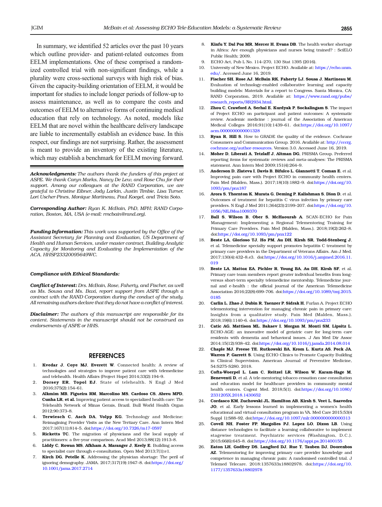<span id="page-15-0"></span>In summary, we identified 52 articles over the past 10 years which outline provider- and patient-related outcomes from EELM implementations. One of these comprised a randomized controlled trial with non-significant findings, while a plurality were cross-sectional surveys with high risk of bias. Given the capacity-building orientation of EELM, it would be important for studies to include longer periods of follow-up to assess maintenance, as well as to compare the costs and outcomes of EELM to alternative forms of continuing medical education that rely on technology. As noted, models like EELM that are novel within the healthcare delivery landscape are liable to incrementally establish an evidence base. In this respect, our findings are not surprising. Rather, the assessment is meant to provide an inventory of the existing literature, which may establish a benchmark for EELM moving forward.

Acknowledgments: The authors thank the funders of this project at ASPE. We thank Caryn Marks, Nancy De Lew, and Rose Chu for their support. Among our colleagues at the RAND Corporation, we are grateful to Christine Eibner, Jody Larkin, Justin Timbie, Lisa Turner, Lori Uscher-Pines, Monique Martineau, Paul Koegel, and Tricia Soto.

Corresponding Author: Ryan K. McBain, PhD, MPH; RAND Corporation, Boston, MA, USA (e-mail: rmcbain@rand.org).

Funding Information: This work was supported by the Office of the Assistant Secretary for Planning and Evaluation, US Department of Health and Human Services, under master contract, Building Analytic Capacity for Monitoring and Evaluating the Implementation of the ACA, HHSP23320095649WC.

#### Compliance with Ethical Standards:

Conflict of Interest: Drs. McBain, Rose, Faherty, and Fischer, as well as Ms. Sousa and Ms. Baxi, report support from ASPE through a contract with the RAND Corporation during the conduct of the study. All remaining authors declare that they do not have a conflict of interest.

**Disclaimer:** The authors of this manuscript are responsible for its content. Statements in the manuscript should not be construed as endorsements of ASPE or HHS.

#### **REFERENCES**

- 1. Kvedar J, Coye MJ, Everett W. Connected health: A review of technologies and strategies to improve patient care with telemedicine and telehealth. Health Affairs (Project Hope) 2014;33(2):194–9.
- 2. Dorsey ER, Topol EJ. State of telehealth. N Engl J Med 2016;375(2):154–61.
- 3. Alkmim MB, Figueira RM, Marcolino MS, Cardoso CS, Abreu MPD, Cunha LR, et al. Improving patient access to specialized health care: The Telehealth Network of Minas Gerais, Brazil. Bull World Health Organ 2012;90:373–8.
- 4. Terwiesch C, Asch DA, Volpp KG. Technology and Medicine: Reimagining Provider Visits as the New Tertiary Care. Ann Intern Med 2017;167(11):814–5. doi[:https://doi.org/10.7326/m17-0597](http://dx.doi.org/10.7326/m17-0597)
- 5. Ricketts TC. The migration of physicians and the local supply of practitioners: a five-year comparison. Acad Med 2013;88(12):1913–8.
- Liddy C, Rowan MS, Afkham A, Maranger J, Keely E. Building access to specialist care through e-consultation. Open Med 2013;7(1):e1.
- 7. Kirch DG, Petelle K. Addressing the physician shortage: The peril of ignoring demography. JAMA. 2017;317(19):1947–8. doi[:https://doi.org/](http://dx.doi.org/10.1001/jama.2017.2714) [10.1001/jama.2017.2714](http://dx.doi.org/10.1001/jama.2017.2714)
- 8. Kinfu Y, Dal Poz MR, Mercer H, Evans DB. The health worker shortage in Africa: Are enough physicians and nurses being trained? : SciELO Public Health; 2009.
- 9. ECHO Act, Pub L No. 114–270, 130 Stat 1395 (2016).
- 10. University of New Mexico. Project ECHO. Available at: [https://echo.unm.](http://dx.doi.org/https://echo.unm.edu/) [edu/](http://dx.doi.org/https://echo.unm.edu/). Accessed June 16, 2019.
- 11. Fischer SH, Rose AJ, McBain RK, Faherty LJ, Sousa J, Martineau M. Evaluation of technology-enabled collaborative learning and capacity building models: Materials for a report to Congress. Santa Monica, CA: RAND Corporation, 2019. Available at: [https://www.rand.org/pubs/](http://dx.doi.org/https://www.rand.org/pubs/research_reports/RR2934.html) [research\\_reports/RR2934.html](http://dx.doi.org/https://www.rand.org/pubs/research_reports/RR2934.html).
- 12. Zhou C, Crawford A, Serhal E, Kurdyak P, Sockalingam S. The impact of Project ECHO on participant and patient outcomes: A systematic review. Academic medicine : journal of the Association of American Medical Colleges 2016;91(10):1439–61. doi[:https://doi.org/10.1097/](http://dx.doi.org/10.1097/acm.0000000000001328) [acm.0000000000001328](http://dx.doi.org/10.1097/acm.0000000000001328)
- 13. Ryan R, Hill S. How to GRADE the quality of the evidence. Cochrane Consumers and Communication Group. 2016. Available at: [http://cccrg.](http://dx.doi.org/http://cccrg.cochrane.org/author-resources) [cochrane.org/author-resources](http://dx.doi.org/http://cccrg.cochrane.org/author-resources). Version 3.0. Accessed June 16, 2019.
- Moher D, Liberati A, Tetzlaff J, Altman DG, PRISMA Group. Preferred reporting items for systematic reviews and meta-analyses: The PRISMA statement. Ann Intern Med 2009;151(4):264–9.
- 15. Anderson D, Zlateva I, Davis B, Bifulco L, Giannotti T, Coman E, et al. Improving pain care with Project ECHO in community health centers. Pain Med (Malden, Mass.). 2017;18(10):1882–9. doi:[https://doi.org/10.](http://dx.doi.org/10.1093/pm/pnx187) [1093/pm/pnx187](http://dx.doi.org/10.1093/pm/pnx187)
- 16. Arora S, Thornton K, Murata G, Deming P, Kalishman S, Dion D, et al. Outcomes of treatment for hepatitis C virus infection by primary care providers. N Engl J Med 2011;364(23):2199–207. doi:[https://doi.org/10.](http://dx.doi.org/10.1056/NEJMoa1009370) [1056/NEJMoa1009370](http://dx.doi.org/10.1056/NEJMoa1009370)
- 17. Ball S, Wilson B, Ober S, McHaourab A, SCAN-ECHO for Pain Management: Implementing a Regional Telementoring Training for Primary Care Providers. Pain Med (Malden, Mass.). 2018;19(2):262–8. doi[:https://doi.org/10.1093/pm/pnx122](http://dx.doi.org/10.1093/pm/pnx122)
- 18. Beste LA, Glorioso TJ, Ho PM, Au DH, Kirsh SR, Todd-Stenberg J, et al. Telemedicine specialty support promotes hepatitis C treatment by primary care providers in the Department of Veterans Affairs. Am J Med. 2017;130(4):432–8.e3. doi[:https://doi.org/10.1016/j.amjmed.2016.11.](http://dx.doi.org/10.1016/j.amjmed.2016.11.019) [019](http://dx.doi.org/10.1016/j.amjmed.2016.11.019)
- 19. Beste LA, Mattox EA, Pichler R, Young BA, Au DH, Kirsh SF, et al. Primary care team members report greater individual benefits from longversus short-term specialty telemedicine mentorship. Telemedicine journal and e-health : the official journal of the American Telemedicine Association 2016;22(8):699–706. doi[:https://doi.org/10.1089/tmj.2015.](http://dx.doi.org/10.1089/tmj.2015.0185) [0185](http://dx.doi.org/10.1089/tmj.2015.0185)
- 20. Carlin L, Zhao J, Dubin R, Taenzer P, Sidrak H, Furlan A. Project ECHO telementoring intervention for managing chronic pain in primary care: Insights from a qualitative study. Pain Med (Malden, Mass.). 2018;19(6):1140–6. doi[:https://doi.org/10.1093/pm/pnx233](http://dx.doi.org/10.1093/pm/pnx233)
- 21. Catic AG, Mattison ML, Bakaev I, Morgan M, Monti SM, Lipsitz L. ECHO-AGE: an innovative model of geriatric care for long-term care residents with dementia and behavioral issues. J Am Med Dir Assoc 2014;15(12):938–42. doi[:https://doi.org/10.1016/j.jamda.2014.08.014](http://dx.doi.org/10.1016/j.jamda.2014.08.014)
- 22. Chaple MJ, Freese TE, Rutkowski BA, Krom L, Kurtz AS, Peck JA, Warren P, Garrett S. Using ECHO Clinics to Promote Capacity Building in Clinical Supervision. American Journal of Preventive Medicine, 54:S275-S280. 2018.
- 23. Cofta-Woerpel L, Lam C, Reitzel LR, Wilson W, Karam-Hage M, Beneventi D, et al. A tele-mentoring tobacco cessation case consultation and education model for healthcare providers in community mental health centers. Cogent Med. 2018;5(1). doi[:https://doi.org/10.1080/](http://dx.doi.org/10.1080/2331205X.2018.1430652) [2331205X.2018.1430652](http://dx.doi.org/10.1080/2331205X.2018.1430652)
- 24. Cordasco KM, Zuchowski JL, Hamilton AB, Kirsh S, Veet L, Saavedra JO, et al. Early lessons learned in implementing a women's health educational and virtual consultation program in VA. Med Care 2015;53(4 Suppl 1):S88–92. doi[:https://doi.org/10.1097/mlr.0000000000000313](http://dx.doi.org/10.1097/mlr.0000000000000313)
- 25. Covell NH, Foster FP, Margolies PJ, Lopez LO, Dixon LB. Using distance technologies to facilitate a learning collaborative to implement stagewise treatment. Psychiatric services (Washington, D.C.). 2015;66(6):645–8. doi:[https://doi.org/10.1176/appi.ps.201400155](http://dx.doi.org/10.1176/appi.ps.201400155)
- 26. Eaton LH, Godfrey DS, Langford DJ, Rue T, Tauben DJ, Doorenbos AZ. Telementoring for improving primary care provider knowledge and competence in managing chronic pain: A randomised controlled trial. J Telemed Telecare. 2018:1357633x18802978. doi[:https://doi.org/10.](http://dx.doi.org/10.1177/1357633x18802978) [1177/1357633x18802978](http://dx.doi.org/10.1177/1357633x18802978)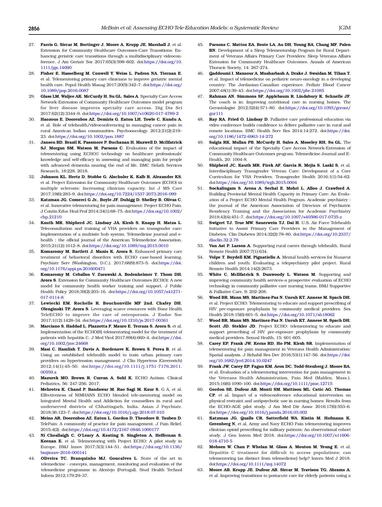- <span id="page-16-0"></span>27. Farris G, Sircar M, Bortinger J, Moore A, Krupp JE, Marshall J, et al. Extension for Community Healthcare Outcomes-Care Transitions: Enhancing geriatric care transitions through a multidisciplinary videoconference. J Am Geriatr Soc 2017;65(3):598–602. doi:[https://doi.org/10.](http://dx.doi.org/10.1111/jgs.14690) [1111/jgs.14690](http://dx.doi.org/10.1111/jgs.14690)
- 28. Fisher E, Hasselberg M, Conwell Y, Weiss L, Padron NA, Tiernan E, et al. Telementoring primary care clinicians to improve geriatric mental health care. Popul Health Manag 2017;20(5):342–7. doi[:https://doi.org/](http://dx.doi.org/10.1089/pop.2016.0087) [10.1089/pop.2016.0087](http://dx.doi.org/10.1089/pop.2016.0087)
- 29. Glass LM, Waljee AK, McCurdy H, Su GL, Sales A. Specialty Care Access Network-Extension of Community Healthcare Outcomes model program for liver disease improves specialty care access. Dig Dis Sci 2017;62(12):3344–9. doi[:https://doi.org/10.1007/s10620-017-4789-2](http://dx.doi.org/10.1007/s10620-017-4789-2)
- 30. Haozous E, Doorenbos AZ, Demiris G, Eaton LH, Towle C, Kundu A, et al. Role of telehealth/videoconferencing in managing cancer pain in rural American Indian communities. Psychooncology. 2012;21(2):219– 23. doi[:https://doi.org/10.1002/pon.1887](http://dx.doi.org/10.1002/pon.1887)
- 31. Jansen BD, Brazil K, Passmore P, Buchanan H, Maxwell D, McIlfatrick SJ, Morgan SM, Watson M, Parsons C. Evaluation of the impact of telementoring using ECHO© technology on healthcare professionals' knowledge and self-efficacy in assessing and managing pain for people with advanced dementia nearing the end of life. BMC Helath Services Research, 18:228. 2018.
- 32. Johnson KL, Hertz D, Stobbe G, Alschuler K, Kalb R, Alexander KS, et al. Project Extension for Community Healthcare Outcomes (ECHO) in multiple sclerosis: Increasing clinician capacity. Int J MS Care 2017;19(6):283–9. doi:[https://doi.org/10.7224/1537-2073.2016-099](http://dx.doi.org/10.7224/1537-2073.2016-099)
- 33. Katzman JG, Comerci G Jr., Boyle JF, Duhigg D, Shelley B, Olivas C, et al. Innovative telementoring for pain management: Project ECHO Pain. J Contin Educ Heal Prof 2014;34(1):68–75. doi:[https://doi.org/10.1002/](http://dx.doi.org/10.1002/chp.21210) [chp.21210](http://dx.doi.org/10.1002/chp.21210)
- 34. Kauth MR, Shipherd JC, Lindsay JA, Kirsh S, Knapp H, Matza L. Teleconsultation and training of VHA providers on transgender care: Implementation of a multisite hub system. Telemedicine journal and ehealth : the official journal of the American Telemedicine Association. 2015;21(12):1012–8. doi[:https://doi.org/10.1089/tmj.2015.0010](http://dx.doi.org/10.1089/tmj.2015.0010)
- 35. Komaromy M, Bartlett J, Manis K, Arora S. Enhanced primary care treatment of behavioral disorders with ECHO case-based learning. Psychiatr Serv (Washington, D.C.). 2017;68(9):873–5. doi:[https://doi.](http://dx.doi.org/10.1176/appi.ps.201600471) [org/10.1176/appi.ps.201600471](http://dx.doi.org/10.1176/appi.ps.201600471)
- 36. Komaromy M, Ceballos V, Zurawski A, Bodenheimer T, Thom DH, Arora S. Extension for Community Healthcare Outcomes (ECHO): A new model for community health worker training and support. J Public Health Policy 2018;39(2):203–16. doi:[https://doi.org/10.1057/s41271-](http://dx.doi.org/10.1057/s41271-017-0114-8) [017-0114-8](http://dx.doi.org/10.1057/s41271-017-0114-8)
- 37. Lewiecki EM, Rochelle R, Bouchonville MF 2nd, Chafey DH, Olenginski TP, Arora S. Leveraging scarce resources with Bone Health TeleECHO to improve the care of osteoporosis. J Endoc Soc 2017;1(12):1428–34. doi[:https://doi.org/10.1210/js.2017-00361](http://dx.doi.org/10.1210/js.2017-00361)
- 38. Marciano S, Haddad L, Plazzotta F, Mauro E, Terraza S, Arora S, et al. Implementation of the ECHO(R) telementoring model for the treatment of patients with hepatitis C. J Med Virol 2017;89(4):660–4. doi:[https://doi.](http://dx.doi.org/10.1002/jmv.24668) [org/10.1002/jmv.24668](http://dx.doi.org/10.1002/jmv.24668)
- 39. Masi C, Hamlish T, Davis A, Bordenave K, Brown S, Perea B, et al. Using an established telehealth model to train urban primary care providers on hypertension management. J Clin Hypertens (Greenwich) 2012;14(1):45–50. doi[:https://doi.org/10.1111/j.1751-7176.2011.](http://dx.doi.org/10.1111/j.1751-7176.2011.00559.x) [00559.x](http://dx.doi.org/10.1111/j.1751-7176.2011.00559.x)
- 40. Mazurek MO, Brown R, Curran A, Sohl K. ECHO Autism. Clinical Pediatrics, 56: 247-256. 2017.
- 41. Mehrotra K, Chand P, Bandawar M, Rao Sagi M, Kaur S, G A, et al. Effectiveness of NIMHANS ECHO blended tele-mentoring model on Integrated Mental Health and Addiction for counsellors in rural and underserved districts of Chhattisgarh, India. Asian J Psychiatr. 2018;36:123–7. doi[:https://doi.org/10.1016/j.ajp.2018.07.010](http://dx.doi.org/10.1016/j.ajp.2018.07.010)
- 42. Meins AR, Doorenbos AZ, Eaton L, Gordon D, Theodore B, Tauben D. TelePain: A community of practice for pain management. J Pain Relief. 2015;4(2). doi[:https://doi.org/10.4172/2167-0846.1000177](http://dx.doi.org/10.4172/2167-0846.1000177)
- 43. Ní Cheallaigh C, O'Leary A, Keating S, Singleton A, Heffernan S, Keenan E, et al. Telementoring with Project ECHO: A pilot study in Europe. BMJ Innov 2017;3(3):144–51. doi[:https://doi.org/10.1136/](http://dx.doi.org/10.1136/bmjinnov-2016-000141) [bmjinnov-2016-000141](http://dx.doi.org/10.1136/bmjinnov-2016-000141)
- 44. Oliveira TC, Branquinho MJ, Goncalves L. State of the art in telemedicine - concepts, management, monitoring and evaluation of the telemedicine programme in Alentejo (Portugal). Stud Health Technol Inform 2012;179:29–37.
- 45. Parsons C, Mattox EA, Beste LA, Au DH, Young BA, Chang MF, Palen BN. Development of a Sleep Telementorship Program for Rural Department of Veterans Affairs Primary Care Providers: Sleep Veterans Affairs Extension for Community Healthcare Outcomes. Annals of American Thoracic Society, 14: 267-274.
- 46. Qaddoumi I, Mansour A, Musharbash A, Drake J, Swaidan M, Tihan T, et al. Impact of telemedicine on pediatric neuro-oncology in a developing country: The Jordanian-Canadian experience. Pediatr Blood Cancer 2007;48(1):39–43. doi:[https://doi.org/10.1002/pbc.21085](http://dx.doi.org/10.1002/pbc.21085)
- 47. Rahman AN, Simmons SF, Applebaum R, Lindabury K, Schnelle JF. The coach is in: Improving nutritional care in nursing homes. The Gerontologist 2012;52(4):571–80. doi[:https://doi.org/10.1093/geront/](http://dx.doi.org/10.1093/geront/gnr111) [gnr111](http://dx.doi.org/10.1093/geront/gnr111)
- 48. Ray RA, Fried O, Lindsay D. Palliative care professional education via video conference builds confidence to deliver palliative care in rural and remote locations. BMC Health Serv Res 2014;14:272. doi:[https://doi.](http://dx.doi.org/10.1186/1472-6963-14-272) [org/10.1186/1472-6963-14-272](http://dx.doi.org/10.1186/1472-6963-14-272)
- 49. Salgia RK, Mullan PB, McCurdy H, Sales A, Moseley RH, Su GL. The educational impact of the Specialty Care Access Network-Extension of Community Healthcare Outcomes program. Telemedicine Journal and E-Health, 20: 1004-8.
- Shipherd JC, Kauth MR, Firek AF, Garcia R, Mejia S, Laski S, et al. Interdisciplinary Transgender Veteran Care: Development of a Core Curriculum for VHA Providers. Transgender Health 2016;1(1):54–62. doi[:https://doi.org/10.1089/trgh.2015.0004](http://dx.doi.org/10.1089/trgh.2015.0004)
- 51. Sockalingam S, Arena A, Serhal E, Mohri L, Alloo J, Crawford A. Building Provincial Mental Health Capacity in Primary Care: An Evaluation of a Project ECHO Mental Health Program. Academic psychiatry : the journal of the American Association of Directors of Psychiatric Residency Training and the Association for Academic Psychiatry 2018;42(4):451–7. doi:[https://doi.org/10.1007/s40596-017-0735-z](http://dx.doi.org/10.1007/s40596-017-0735-z)
- 52. Swigert TJ, True MW, Sauerwein TJ, Dai H. U.S. Air Force Telehealth Initiative to Assist Primary Care Providers in the Management of Diabetes. Clin Diabetes 2014;32(2):78–80. doi:[https://doi.org/10.2337/](http://dx.doi.org/10.2337/diaclin.32.2.78) [diaclin.32.2.78](http://dx.doi.org/10.2337/diaclin.32.2.78)
- 53. Van Ast P, Larson A. Supporting rural carers through telehealth. Rural Remote Health 2007;7(1):634.
- 54. Volpe T, Boydell KM, Pignatiello A. Mental health services for Nunavut children and youth: Evaluating a telepsychiatry pilot project. Rural Remote Health 2014;14(2):2673.
- 55. White C, McIlfatrick S, Dunwoody L, Watson M. Supporting and improving community health services–a prospective evaluation of ECHO technology in community palliative care nursing teams. BMJ Supportive & Palliative Care. 9: 202-208.
- 56. Wood BR, Mann MS, Martinez-Paz N, Unruh KT, Annese M, Spach DH, et al. Project ECHO: Telementoring to educate and support prescribing of HIV pre-exposure prophylaxis by community medical providers. Sex Health 2018;15(6):601–5. doi:[https://doi.org/10.1071/sh18062](http://dx.doi.org/10.1071/sh18062)
- 57. Wood BR, Mann MS, Martinez-Paz N, Unruh KT, Annese M, Spach DH, Scott JD, Stekler JD. Project ECHO: telementoring to educate and support prescribing of HIV pre-exposure prophylaxis by community medical providers. Sexual Health, 15: 601-605.
- 58. Carey EP, Frank JW, Kerns RD, Ho PM, Kirsh SR. Implementation of telementoring for pain management in Veterans Health Administration: Spatial analysis. J Rehabil Res Dev 2016;53(1):147–56. doi:[https://doi.](http://dx.doi.org/10.1682/jrrd.2014.10.0247) [org/10.1682/jrrd.2014.10.0247](http://dx.doi.org/10.1682/jrrd.2014.10.0247)
- 59. Frank JW, Carey EP, Fagan KM, Aron DC, Todd-Stenberg J, Moore BA, et al. Evaluation of a telementoring intervention for pain management in the Veterans Health Administration. Pain Med (Malden, Mass.). 2015;16(6):1090–100. doi[:https://doi.org/10.1111/pme.12715](http://dx.doi.org/10.1111/pme.12715)
- 60. Gordon SE, Dufour AB, Monti SM, Mattison ML, Catic AG, Thomas CP, et al. Impact of a videoconference educational intervention on physical restraint and antipsychotic use in nursing homes: Results from the ECHO-AGE pilot study. J Am Med Dir Assoc 2016;17(6):553–6. doi[:https://doi.org/10.1016/j.jamda.2016.03.002](http://dx.doi.org/10.1016/j.jamda.2016.03.002)
- 61. Katzman JG, Qualls CR, Satterfield WA, Kistin M, Hofmann K, Greenberg N, et al. Army and Navy ECHO Pain telementoring improves clinician opioid prescribing for military patients: An observational cohort study. J Gen Intern Med 2018. doi:[https://doi.org/10.1007/s11606-](http://dx.doi.org/10.1007/s11606-018-4710-5) [018-4710-5](http://dx.doi.org/10.1007/s11606-018-4710-5)
- 62. Mohsen W, Chan P, Whelan M, Glass A, Mouton M, Yeung E, et al. Hepatitis C treatment for difficult to access populations; can telementoring (as distinct from telemedicine) help? Intern Med J 2018. doi[:https://doi.org/10.1111/imj.14072](http://dx.doi.org/10.1111/imj.14072)
- 63. Moore AB, Krupp JE, Dufour AB, Sircar M, Travison TG, Abrams A, et al. Improving transitions to postacute care for elderly patients using a